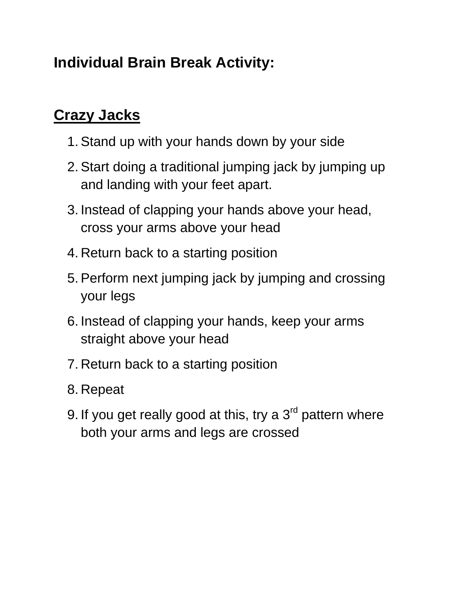## **Individual Brain Break Activity:**

## **Crazy Jacks**

- 1. Stand up with your hands down by your side
- 2. Start doing a traditional jumping jack by jumping up and landing with your feet apart.
- 3. Instead of clapping your hands above your head, cross your arms above your head
- 4. Return back to a starting position
- 5. Perform next jumping jack by jumping and crossing your legs
- 6. Instead of clapping your hands, keep your arms straight above your head
- 7. Return back to a starting position
- 8. Repeat
- 9. If you get really good at this, try a  $3<sup>rd</sup>$  pattern where both your arms and legs are crossed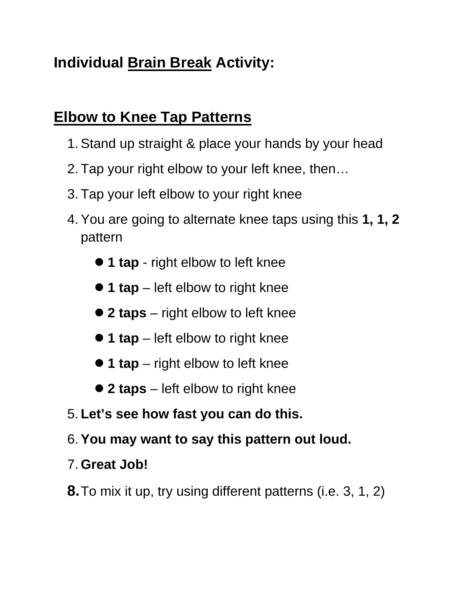# **Individual Brain Break Activity:**

### **Elbow to Knee Tap Patterns**

- 1. Stand up straight & place your hands by your head
- 2. Tap your right elbow to your left knee, then…
- 3. Tap your left elbow to your right knee
- 4. You are going to alternate knee taps using this **1, 1, 2** pattern
	- **1 tap** right elbow to left knee
	- **1 tap** left elbow to right knee
	- **2 taps** right elbow to left knee
	- 1 tap left elbow to right knee
	- **1 tap** right elbow to left knee
	- **2 taps** left elbow to right knee
- 5. **Let's see how fast you can do this.**
- 6.**You may want to say this pattern out loud.**
- 7. **Great Job!**
- **8.**To mix it up, try using different patterns (i.e. 3, 1, 2)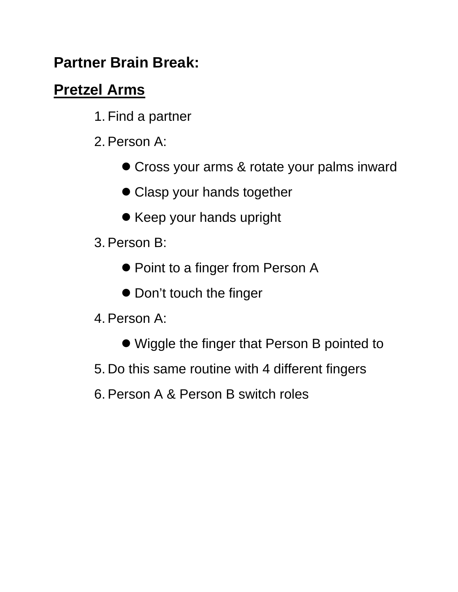### **Partner Brain Break:**

## **Pretzel Arms**

- 1. Find a partner
- 2. Person A:
	- Cross your arms & rotate your palms inward
	- Clasp your hands together
	- Keep your hands upright
- 3. Person B:
	- Point to a finger from Person A
	- Don't touch the finger
- 4. Person A:
	- Wiggle the finger that Person B pointed to
- 5. Do this same routine with 4 different fingers
- 6. Person A & Person B switch roles